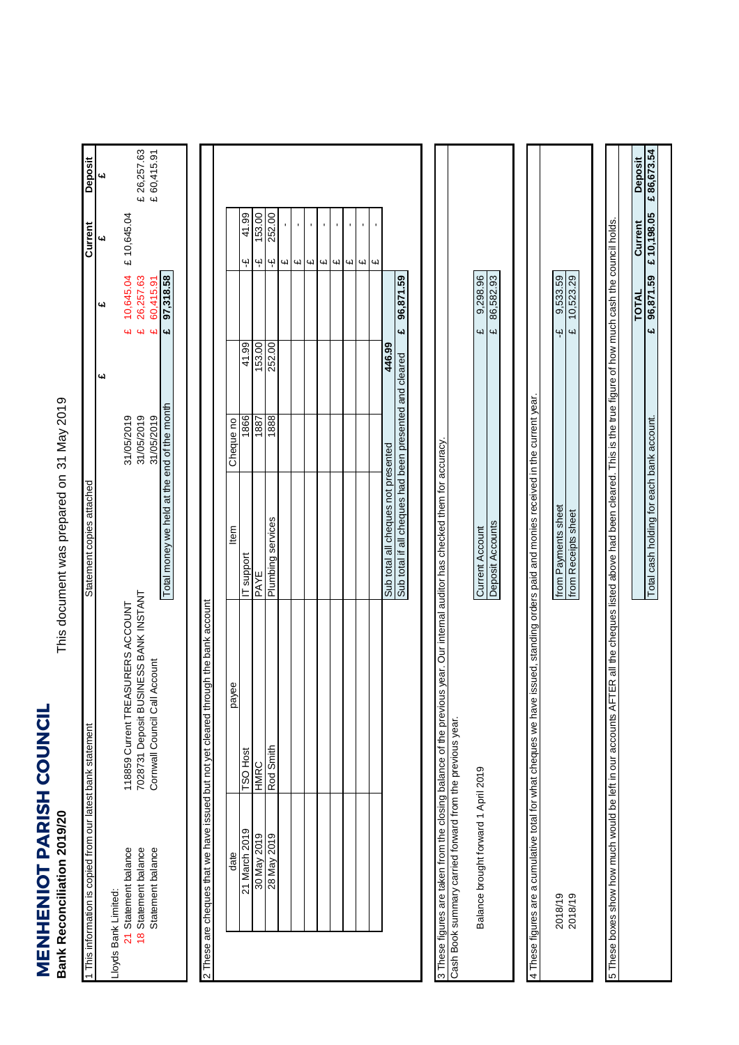**MENHENIOT PARISH COUNCIL**<br>Bank Reconciliation 2019/20 **MENHENIOT PARISH COUNCIL Bank Reconciliation 2019/20**

This document was prepared on 31 May 2019 This document was prepared on

| 1 This information is copied from our latest bank statement             |                                                                                                                              | Statement copies attached                                                                                     |                          |                              |                           | Current                                   | Deposit     |  |
|-------------------------------------------------------------------------|------------------------------------------------------------------------------------------------------------------------------|---------------------------------------------------------------------------------------------------------------|--------------------------|------------------------------|---------------------------|-------------------------------------------|-------------|--|
|                                                                         |                                                                                                                              |                                                                                                               |                          | یبا                          | یما                       | 4d                                        | 41          |  |
| 18 Statement balance<br>21 Statement balance<br>Lloyds Bank Limited:    | 7028731 Deposit BUSINESS BANK INSTANT<br>SURERS ACCOUNT<br>118859 Current TREA                                               |                                                                                                               | 31/05/2019<br>31/05/2019 | 4<br><b>G</b>                | 10,645.04<br>26,257.63    | £ 10,645.04                               | £ 26,257.63 |  |
| Statement balance                                                       | Cornwall Council Call Account                                                                                                | Total money we held at the end of the month                                                                   | 31/05/2019               | $\overline{\mathbf{u}}$<br>£ | 97,318.58<br>60,415.91    |                                           | £60,415.91  |  |
|                                                                         | 2 These are cheques that we have issued but not yet cleared through the bank account                                         |                                                                                                               |                          |                              |                           |                                           |             |  |
| date                                                                    | payee                                                                                                                        | tem                                                                                                           | Cheque no                |                              |                           |                                           |             |  |
| 21 March 2019                                                           | <b>TSO Host</b>                                                                                                              | IT support                                                                                                    | 1866                     | 41.99                        |                           | 41.99<br>Ψ                                |             |  |
|                                                                         | HMRC                                                                                                                         | PAYE                                                                                                          | 1887                     | 153.00                       |                           | 153.00<br>Ψ                               |             |  |
| 8102/04082<br>8 May 2019                                                | Rod Smith                                                                                                                    | Plumbing services                                                                                             | 1888                     | 252.00                       |                           | 252.00<br>Ψ                               |             |  |
|                                                                         |                                                                                                                              |                                                                                                               |                          |                              |                           | $\blacksquare$<br>Щ                       |             |  |
|                                                                         |                                                                                                                              |                                                                                                               |                          |                              |                           | $\mathbf{r}$<br>$\blacksquare$<br>Щ<br>Щ  |             |  |
|                                                                         |                                                                                                                              |                                                                                                               |                          |                              |                           | $\blacksquare$<br>Цl                      |             |  |
|                                                                         |                                                                                                                              |                                                                                                               |                          |                              |                           | $\blacksquare$<br>41                      |             |  |
|                                                                         |                                                                                                                              |                                                                                                               |                          |                              |                           | $\blacksquare$<br>41                      |             |  |
|                                                                         |                                                                                                                              |                                                                                                               |                          |                              |                           | $\mathbf{I}$<br>Щ                         |             |  |
|                                                                         |                                                                                                                              |                                                                                                               |                          |                              |                           | $\blacksquare$<br>$\overline{\mathbf{u}}$ |             |  |
|                                                                         |                                                                                                                              | Sub total all cheques not presented                                                                           |                          | 446.99                       |                           |                                           |             |  |
|                                                                         |                                                                                                                              | Sub total if all cheques had been presented and cleared                                                       |                          | 4J                           | 96,871.59                 |                                           |             |  |
| Cash Book summary carried forward from the previous year.               | 3 These figures are taken from the closing balance of the previous year. Our internal auditor has checked them for accuracy. |                                                                                                               |                          |                              |                           |                                           |             |  |
|                                                                         |                                                                                                                              |                                                                                                               |                          |                              | 9,298.96                  |                                           |             |  |
| Balance brought forward 1 April 2019                                    |                                                                                                                              | Deposit Accounts<br>Current Account                                                                           |                          | Щ<br>41                      | 86,582.93                 |                                           |             |  |
|                                                                         |                                                                                                                              |                                                                                                               |                          |                              |                           |                                           |             |  |
| 4 These figures are a cumulative total for what cheques we have         |                                                                                                                              | issued, standing orders paid and monies received in the current year.                                         |                          |                              |                           |                                           |             |  |
| 2018/19                                                                 |                                                                                                                              | from Payments sheet                                                                                           |                          | Ψ                            | 9,533.59                  |                                           |             |  |
| 2018/19                                                                 |                                                                                                                              | from Receipts sheet                                                                                           |                          | $\omega$                     | 10,523.29                 |                                           |             |  |
|                                                                         |                                                                                                                              |                                                                                                               |                          |                              |                           |                                           |             |  |
| Express than on the set of pluow hour work as the sex of sexed as and T |                                                                                                                              | ER all the cheques listed above had been cleared. This is the true figure of how much cash the council holds. |                          |                              |                           |                                           |             |  |
|                                                                         |                                                                                                                              |                                                                                                               |                          |                              | TOTAL                     | Current                                   | Deposit     |  |
|                                                                         |                                                                                                                              | Total cash holding for each bank account.                                                                     |                          |                              | 96,871.59<br>$\mathbf{u}$ | £10,198.05                                | £86,673.54  |  |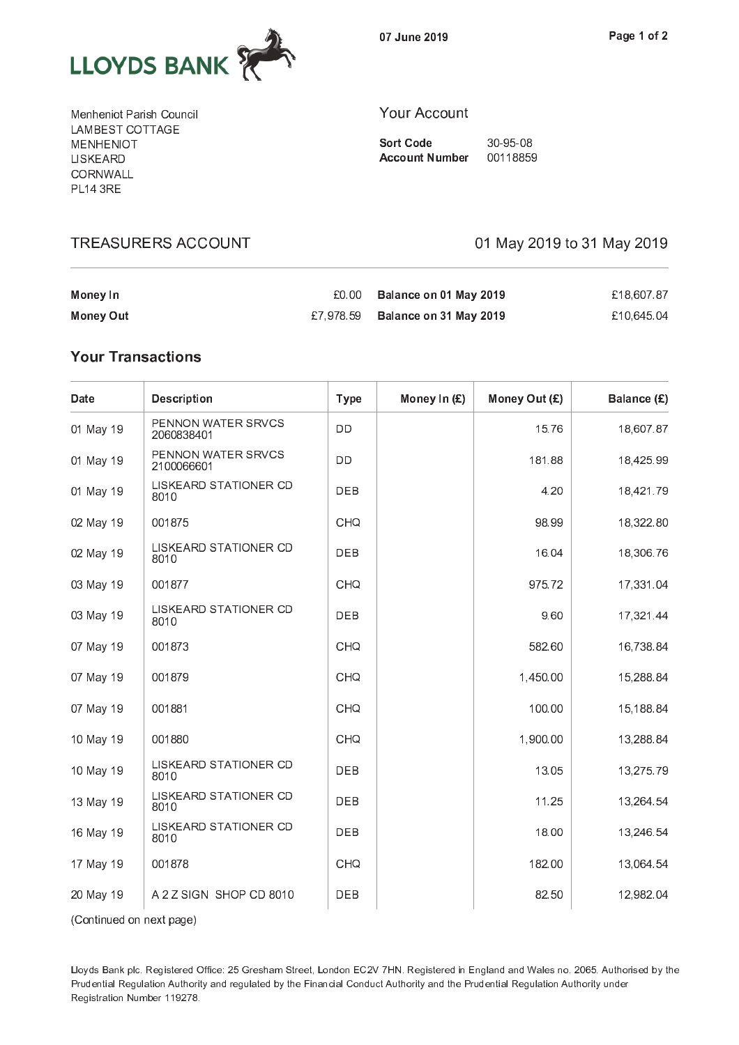

07 June 2019

Menheniot Parish Council LAMBEST COTTAGE **MENHENIOT** LISKEARD CORNWALL **PL14 3RE** 

**TREASURERS ACCOUNT** 

### **Your Account**

**Sort Code** 30-95-08 **Account Number** 00118859

01 May 2019 to 31 May 2019

| Money In  | £0.00 | Balance on 01 May 2019           | £18,607.87 |
|-----------|-------|----------------------------------|------------|
| Money Out |       | £7,978.59 Balance on 31 May 2019 | £10.645.04 |

## **Your Transactions**

| Date      | <b>Description</b>               | <b>Type</b> | Money In (£) | Money Out (£) | Balance (£) |
|-----------|----------------------------------|-------------|--------------|---------------|-------------|
| 01 May 19 | PENNON WATER SRVCS<br>2060838401 | DD          |              | 15.76         | 18,607.87   |
| 01 May 19 | PENNON WATER SRVCS<br>2100066601 | DD          |              | 181.88        | 18,425.99   |
| 01 May 19 | LISKEARD STATIONER CD<br>8010    | DEB         |              | 4.20          | 18,421.79   |
| 02 May 19 | 001875                           | CHQ         |              | 98.99         | 18,322.80   |
| 02 May 19 | LISKEARD STATIONER CD<br>8010    | DEB         |              | 16.04         | 18,306.76   |
| 03 May 19 | 001877                           | CHQ         |              | 975.72        | 17,331.04   |
| 03 May 19 | LISKEARD STATIONER CD<br>8010    | DEB         |              | 9.60          | 17,321.44   |
| 07 May 19 | 001873                           | CHQ         |              | 582.60        | 16,738.84   |
| 07 May 19 | 001879                           | CHQ         |              | 1,450.00      | 15,288.84   |
| 07 May 19 | 001881                           | <b>CHQ</b>  |              | 100.00        | 15,188.84   |
| 10 May 19 | 001880                           | CHQ         |              | 1,900.00      | 13,288.84   |
| 10 May 19 | LISKEARD STATIONER CD<br>8010    | DEB         |              | 13.05         | 13,275.79   |
| 13 May 19 | LISKEARD STATIONER CD<br>8010    | DEB         |              | 11.25         | 13,264.54   |
| 16 May 19 | LISKEARD STATIONER CD<br>8010    | DEB         |              | 18.00         | 13,246.54   |
| 17 May 19 | 001878                           | CHQ         |              | 182.00        | 13,064.54   |
| 20 May 19 | A 2 Z SIGN SHOP CD 8010          | DEB         |              | 82.50         | 12,982.04   |

(Continued on next page)

Lloyds Bank plc. Registered Office: 25 Gresham Street, London EC2V 7HN. Registered in England and Wales no. 2065. Authorised by the Prudential Regulation Authority and regulated by the Financial Conduct Authority and the Prudential Regulation Authority under Registration Number 119278.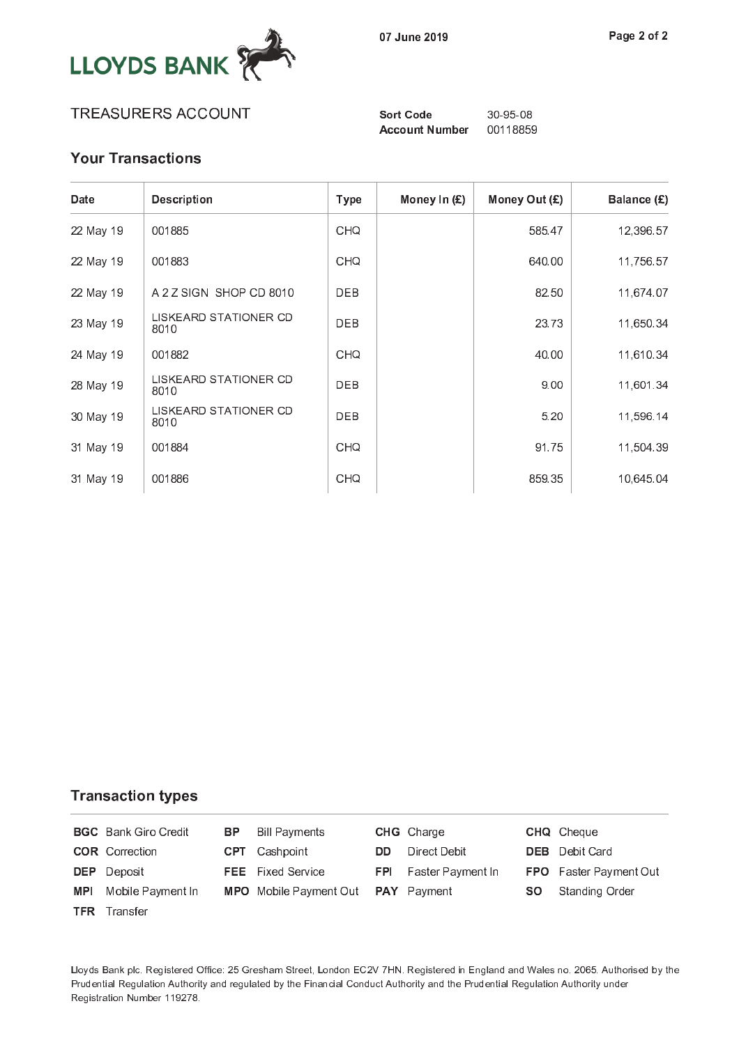

## TREASURERS ACCOUNT

**Sort Code Account Number** 

30-95-08 00118859

# **Your Transactions**

| Date      | <b>Description</b>            | <b>Type</b> | Money In $(E)$ | Money Out (£) | Balance (£) |
|-----------|-------------------------------|-------------|----------------|---------------|-------------|
| 22 May 19 | 001885                        | CHQ         |                | 585.47        | 12,396.57   |
| 22 May 19 | 001883                        | CHQ         |                | 640.00        | 11,756.57   |
| 22 May 19 | A 2 Z SIGN SHOP CD 8010       | <b>DEB</b>  |                | 82.50         | 11,674.07   |
| 23 May 19 | LISKEARD STATIONER CD<br>8010 | <b>DEB</b>  |                | 23.73         | 11,650.34   |
| 24 May 19 | 001882                        | CHQ         |                | 40.00         | 11,610.34   |
| 28 May 19 | LISKEARD STATIONER CD<br>8010 | DEB         |                | 9.00          | 11,601.34   |
| 30 May 19 | LISKEARD STATIONER CD<br>8010 | <b>DEB</b>  |                | 5.20          | 11,596.14   |
| 31 May 19 | 001884                        | CHQ         |                | 91.75         | 11,504.39   |
| 31 May 19 | 001886                        | CHQ         |                | 859.35        | 10,645.04   |

### **Transaction types**

|     | <b>BGC</b> Bank Giro Credit | BP . | Bill Payments                      |     | <b>CHG</b> Charge            |     | <b>CHQ</b> Cheque             |
|-----|-----------------------------|------|------------------------------------|-----|------------------------------|-----|-------------------------------|
|     | <b>COR</b> Correction       |      | <b>CPT</b> Cashpoint               | DD. | Direct Debit                 |     | <b>DEB</b> Debit Card         |
|     | <b>DEP</b> Deposit          |      | <b>FEE</b> Fixed Service           |     | <b>FPI</b> Faster Payment In |     | <b>FPO</b> Faster Payment Out |
| MPI | Mobile Payment In           |      | MPO Mobile Payment Out PAY Payment |     |                              | SO. | Standing Order                |
|     | <b>TFR</b> Transfer         |      |                                    |     |                              |     |                               |

Lloyds Bank plc. Registered Office: 25 Gresham Street, London EC2V 7HN. Registered in England and Wales no. 2065. Authorised by the Prudential Regulation Authority and regulated by the Financial Conduct Authority and the Prudential Regulation Authority under Registration Number 119278.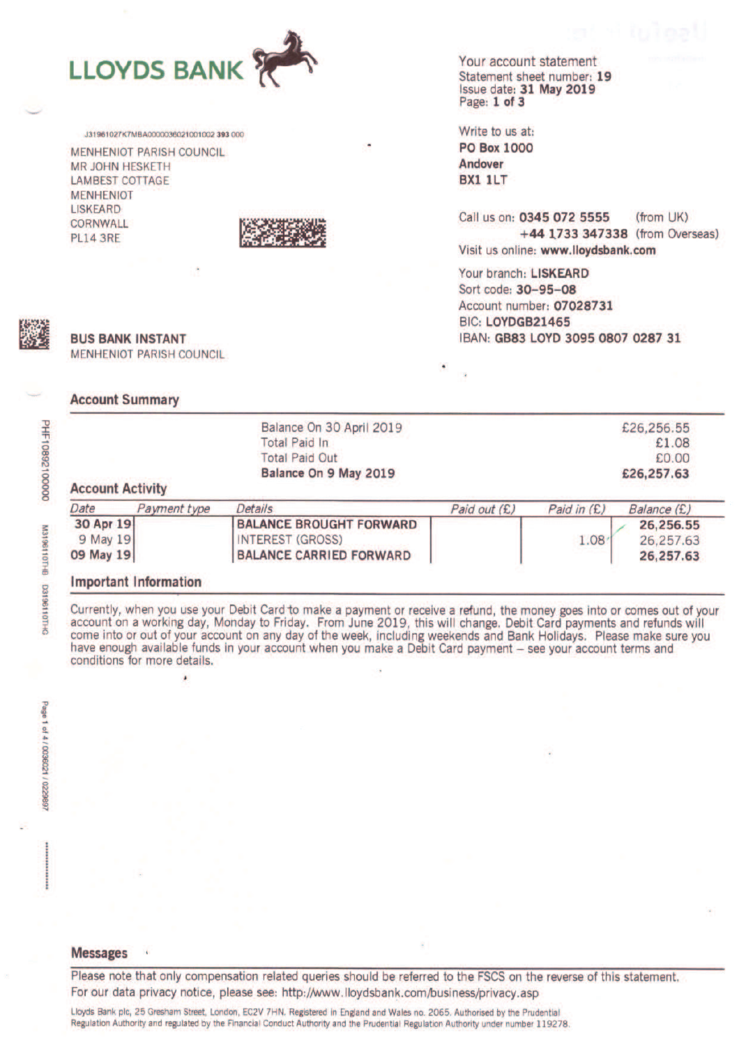

J31961027K7MBA0000036021001002 393 000 **MENHENIOT PARISH COUNCIL MR JOHN HESKETH LAMBEST COTTAGE MENHENIOT LISKEARD** CORNWALL **PL14 3RE** 



Your account statement Statement sheet number: 19 Issue date: 31 May 2019 Page: 1 of 3

Write to us at: **PO Box 1000** Andover BX1 1LT

Call us on: 0345 072 5555  $(from$   $UK)$ +44 1733 347338 (from Overseas) Visit us online: www.lloydsbank.com

Your branch: LISKEARD Sort code: 30-95-08 Account number: 07028731 BIC: LOYDGB21465 IBAN: GB83 LOYD 3095 0807 0287 31



DRI20000126801Hd

M3198110THB

DHIDITION

**BUS BANK INSTANT MENHENIOT PARISH COUNCIL** 

#### **Account Summary**

|                         | Balance On 30 April 2019 | £26,256.55 |
|-------------------------|--------------------------|------------|
|                         | <b>Total Paid In</b>     | £1.08      |
|                         | <b>Total Paid Out</b>    | £0.00      |
|                         | Balance On 9 May 2019    | £26,257.63 |
| <b>Account Activity</b> |                          |            |

| Date      | Payment type | Details                        | Paid out (£) | Paid in $(E)$ | Balance (£) |
|-----------|--------------|--------------------------------|--------------|---------------|-------------|
| 30 Apr 19 |              | <b>BALANCE BROUGHT FORWARD</b> |              |               | 26.256.55   |
| 9 May 19  |              | <b>INTEREST (GROSS)</b>        |              | 1.08          | 26.257.63   |
| 09 May 19 |              | <b>BALANCE CARRIED FORWARD</b> |              |               | 26, 257, 63 |

#### **Important Information**

Currently, when you use your Debit Card to make a payment or receive a refund, the money goes into or comes out of your account on a working day, Monday to Friday. From June 2019, this will change. Debit Card payments and refunds will come into or out of your account on any day of the week, including weekends and Bank Holidays. Please make have enough available funds in your account when you make a Debit Card payment - see your account terms and conditions for more details.

#### **Messages**

Please note that only compensation related queries should be referred to the FSCS on the reverse of this statement. For our data privacy notice, please see: http://www.lloydsbank.com/business/privacy.asp

Lloyds Bank plc, 25 Gresham Street, London, EC2V 7HN. Registered in England and Wales no. 2065. Authorised by the Prudential Regulation Authority and regulated by the Financial Conduct Authority and the Prudential Regulation Authority under number 119278.